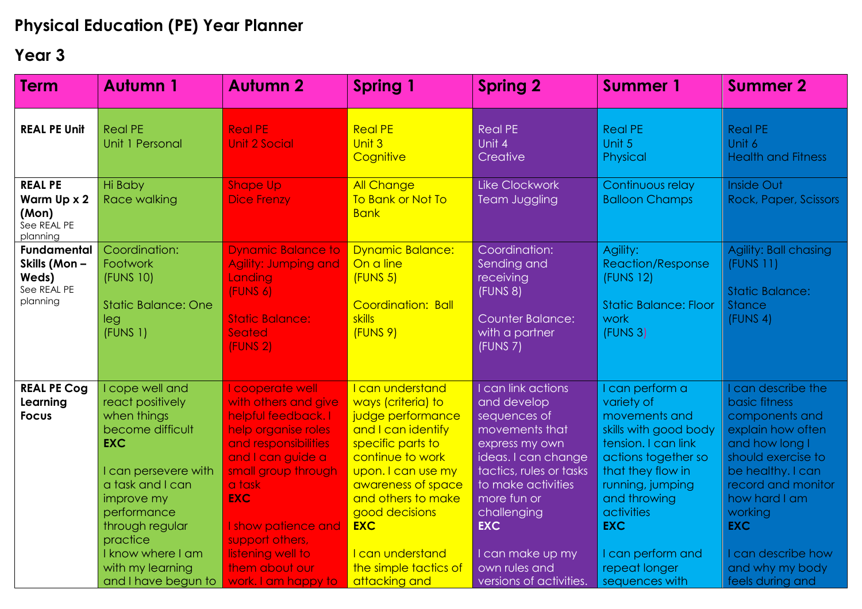## **Physical Education (PE) Year Planner**

## **Year 3**

| <b>Term</b>                                                            | <b>Autumn 1</b>                                                                                                                                                                                                                                              | <b>Autumn 2</b>                                                                                                                                                                                                                                                                            | <b>Spring 1</b>                                                                                                                                                                                                                                                                            | <b>Spring 2</b>                                                                                                                                                                                                                                                           | <b>Summer 1</b>                                                                                                                                                                                                                                                | <b>Summer 2</b>                                                                                                                                                                                                                                                    |
|------------------------------------------------------------------------|--------------------------------------------------------------------------------------------------------------------------------------------------------------------------------------------------------------------------------------------------------------|--------------------------------------------------------------------------------------------------------------------------------------------------------------------------------------------------------------------------------------------------------------------------------------------|--------------------------------------------------------------------------------------------------------------------------------------------------------------------------------------------------------------------------------------------------------------------------------------------|---------------------------------------------------------------------------------------------------------------------------------------------------------------------------------------------------------------------------------------------------------------------------|----------------------------------------------------------------------------------------------------------------------------------------------------------------------------------------------------------------------------------------------------------------|--------------------------------------------------------------------------------------------------------------------------------------------------------------------------------------------------------------------------------------------------------------------|
| <b>REAL PE Unit</b>                                                    | <b>Real PE</b><br>Unit 1 Personal                                                                                                                                                                                                                            | <b>Real PE</b><br><b>Unit 2 Social</b>                                                                                                                                                                                                                                                     | <b>Real PE</b><br>Unit 3<br>Cognitive                                                                                                                                                                                                                                                      | <b>Real PE</b><br>Unit 4<br>Creative                                                                                                                                                                                                                                      | <b>Real PE</b><br>Unit 5<br>Physical                                                                                                                                                                                                                           | <b>Real PE</b><br>Unit 6<br><b>Health and Fitness</b>                                                                                                                                                                                                              |
| <b>REAL PE</b><br>Warm Up x 2<br>(Mon)<br>See REAL PE<br>planning      | Hi Baby<br>Race walking                                                                                                                                                                                                                                      | <b>Shape Up</b><br><b>Dice Frenzy</b>                                                                                                                                                                                                                                                      | <b>All Change</b><br>To Bank or Not To<br><b>Bank</b>                                                                                                                                                                                                                                      | <b>Like Clockwork</b><br><b>Team Juggling</b>                                                                                                                                                                                                                             | Continuous relay<br><b>Balloon Champs</b>                                                                                                                                                                                                                      | <b>Inside Out</b><br>Rock, Paper, Scissors                                                                                                                                                                                                                         |
| <b>Fundamental</b><br>Skills (Mon-<br>Weds)<br>See REAL PE<br>planning | Coordination:<br>Footwork<br>(FUNS 10)<br><b>Static Balance: One</b><br>leg<br>(FUNS <sub>1</sub> )                                                                                                                                                          | <b>Dynamic Balance to</b><br>Agility: Jumping and<br>Landing<br>(FUNS 6)<br><b>Static Balance:</b><br>Seated<br>(FUNS <sub>2</sub> )                                                                                                                                                       | <b>Dynamic Balance:</b><br>On a line<br>(FUNS 5)<br>Coordination: Ball<br>skills<br>(FUNS 9)                                                                                                                                                                                               | Coordination:<br>Sending and<br>receiving<br>(FUNS 8)<br><b>Counter Balance:</b><br>with a partner<br>(FUNS 7)                                                                                                                                                            | Agility:<br><b>Reaction/Response</b><br>(FUNS 12)<br><b>Static Balance: Floor</b><br>work<br>(FUNS 3)                                                                                                                                                          | Agility: Ball chasing<br>(FUNS 11)<br><b>Static Balance:</b><br><b>Stance</b><br>(FUNS 4)                                                                                                                                                                          |
| <b>REAL PE Cog</b><br>Learning<br><b>Focus</b>                         | I cope well and<br>react positively<br>when things<br>become difficult<br><b>EXC</b><br>I can persevere with<br>a task and I can<br>improve my<br>performance<br>through regular<br>practice<br>I know where I am<br>with my learning<br>and I have begun to | I cooperate well<br>with others and give<br>helpful feedback. I<br>help organise roles<br>and responsibilities<br>and I can guide a<br>small group through<br>a task<br><b>EXC</b><br>I show patience and<br>support others,<br>listening well to<br>them about our<br>work. I am happy to | I can understand<br>ways (criteria) to<br>judge performance<br>and I can identify<br>specific parts to<br>continue to work<br>upon. I can use my<br>awareness of space<br>and others to make<br>good decisions<br><b>EXC</b><br>I can understand<br>the simple tactics of<br>attacking and | I can link actions<br>and develop<br>sequences of<br>movements that<br>express my own<br>ideas. I can change<br>tactics, rules or tasks<br>to make activities<br>more fun or<br>challenging<br><b>EXC</b><br>I can make up my<br>own rules and<br>versions of activities. | can perform a<br>variety of<br>movements and<br>skills with good body<br>tension. I can link<br>actions together so<br>that they flow in<br>running, jumping<br>and throwing<br>activities<br><b>EXC</b><br>can perform and<br>repeat longer<br>sequences with | I can describe the<br>basic fitness<br>components and<br>explain how often<br>and how long I<br>should exercise to<br>be healthy. I can<br>record and monitor<br>how hard I am<br>working<br><b>EXC</b><br>can describe how<br>and why my body<br>feels during and |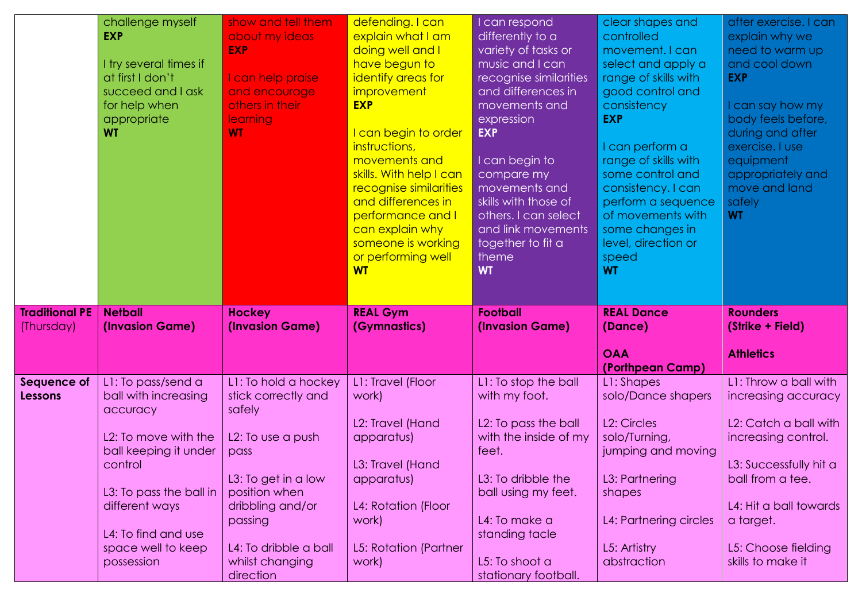|                                     | challenge myself<br><b>EXP</b><br>I try several times if<br>at first I don't<br>succeed and I ask<br>for help when<br>appropriate<br><b>WT</b> | show and tell them<br>about my ideas<br><b>EXP</b><br>I can help praise<br>and encourage<br>others in their<br><b>learning</b><br><b>WT</b> | defending. I can<br>explain what I am<br>doing well and I<br>have begun to<br>identify areas for<br>improvement<br><b>EXP</b><br>can begin to order<br>instructions,<br>movements and<br>skills. With help I can<br>recognise similarities<br>and differences in<br>performance and I<br>can explain why<br>someone is working<br>or performing well<br><b>WT</b> | I can respond<br>differently to a<br>variety of tasks or<br>music and I can<br>recognise similarities<br>and differences in<br>movements and<br>expression<br><b>EXP</b><br>I can begin to<br>compare my<br>movements and<br>skills with those of<br>others. I can select<br>and link movements<br>together to fit a<br>theme<br><b>WT</b> | clear shapes and<br>controlled<br>movement. I can<br>select and apply a<br>range of skills with<br>good control and<br>consistency<br><b>EXP</b><br>I can perform a<br>range of skills with<br>some control and<br>consistency. I can<br>perform a sequence<br>of movements with<br>some changes in<br>level, direction or<br>speed<br><b>WT</b> | after exercise. I can<br>explain why we<br>need to warm up<br>and cool down<br><b>EXP</b><br>can say how my<br>body feels before,<br>during and after<br>exercise. I use<br>equipment<br>appropriately and<br>move and land<br>safely<br><b>WT</b> |
|-------------------------------------|------------------------------------------------------------------------------------------------------------------------------------------------|---------------------------------------------------------------------------------------------------------------------------------------------|-------------------------------------------------------------------------------------------------------------------------------------------------------------------------------------------------------------------------------------------------------------------------------------------------------------------------------------------------------------------|--------------------------------------------------------------------------------------------------------------------------------------------------------------------------------------------------------------------------------------------------------------------------------------------------------------------------------------------|--------------------------------------------------------------------------------------------------------------------------------------------------------------------------------------------------------------------------------------------------------------------------------------------------------------------------------------------------|----------------------------------------------------------------------------------------------------------------------------------------------------------------------------------------------------------------------------------------------------|
| <b>Traditional PE</b><br>(Thursday) | <b>Netball</b><br>(Invasion Game)                                                                                                              | <b>Hockey</b><br>(Invasion Game)                                                                                                            | <b>REAL Gym</b><br>(Gymnastics)                                                                                                                                                                                                                                                                                                                                   | <b>Football</b><br>(Invasion Game)                                                                                                                                                                                                                                                                                                         | <b>REAL Dance</b><br>(Dance)<br><b>OAA</b>                                                                                                                                                                                                                                                                                                       | <b>Rounders</b><br>(Strike + Field)<br><b>Athletics</b>                                                                                                                                                                                            |
|                                     |                                                                                                                                                |                                                                                                                                             |                                                                                                                                                                                                                                                                                                                                                                   |                                                                                                                                                                                                                                                                                                                                            | (Porthpean Camp)                                                                                                                                                                                                                                                                                                                                 |                                                                                                                                                                                                                                                    |
| Sequence of<br>Lessons              | L1: To pass/send a<br>ball with increasing                                                                                                     | L1: To hold a hockey<br>stick correctly and                                                                                                 | L1: Travel (Floor<br>work)                                                                                                                                                                                                                                                                                                                                        | L1: To stop the ball<br>with my foot.                                                                                                                                                                                                                                                                                                      | L1: Shapes<br>solo/Dance shapers                                                                                                                                                                                                                                                                                                                 | L1: Throw a ball with<br>increasing accuracy                                                                                                                                                                                                       |
|                                     | accuracy                                                                                                                                       | safely                                                                                                                                      |                                                                                                                                                                                                                                                                                                                                                                   |                                                                                                                                                                                                                                                                                                                                            |                                                                                                                                                                                                                                                                                                                                                  |                                                                                                                                                                                                                                                    |
|                                     | L2: To move with the<br>ball keeping it under                                                                                                  | L2: To use a push<br>pass                                                                                                                   | L2: Travel (Hand<br>apparatus)                                                                                                                                                                                                                                                                                                                                    | L2: To pass the ball<br>with the inside of my<br>feet.                                                                                                                                                                                                                                                                                     | L <sub>2</sub> : Circles<br>solo/Turning,<br>jumping and moving                                                                                                                                                                                                                                                                                  | L2: Catch a ball with<br>increasing control.                                                                                                                                                                                                       |
|                                     | control                                                                                                                                        |                                                                                                                                             | L3: Travel (Hand                                                                                                                                                                                                                                                                                                                                                  |                                                                                                                                                                                                                                                                                                                                            |                                                                                                                                                                                                                                                                                                                                                  | L3: Successfully hit a                                                                                                                                                                                                                             |
|                                     |                                                                                                                                                | L3: To get in a low                                                                                                                         | apparatus)                                                                                                                                                                                                                                                                                                                                                        | L3: To dribble the                                                                                                                                                                                                                                                                                                                         | L3: Partnering                                                                                                                                                                                                                                                                                                                                   | ball from a tee.                                                                                                                                                                                                                                   |
|                                     | L3: To pass the ball in                                                                                                                        | position when                                                                                                                               |                                                                                                                                                                                                                                                                                                                                                                   | ball using my feet.                                                                                                                                                                                                                                                                                                                        | shapes                                                                                                                                                                                                                                                                                                                                           |                                                                                                                                                                                                                                                    |
|                                     | different ways<br>L4: To find and use                                                                                                          | dribbling and/or<br>passing                                                                                                                 | L4: Rotation (Floor<br>work)                                                                                                                                                                                                                                                                                                                                      | L4: To make a<br>standing tacle                                                                                                                                                                                                                                                                                                            | L4: Partnering circles                                                                                                                                                                                                                                                                                                                           | L4: Hit a ball towards<br>a target.                                                                                                                                                                                                                |
|                                     | space well to keep<br>possession                                                                                                               | L4: To dribble a ball                                                                                                                       | L5: Rotation (Partner                                                                                                                                                                                                                                                                                                                                             | L5: To shoot a                                                                                                                                                                                                                                                                                                                             | L5: Artistry<br>abstraction                                                                                                                                                                                                                                                                                                                      | L5: Choose fielding<br>skills to make it                                                                                                                                                                                                           |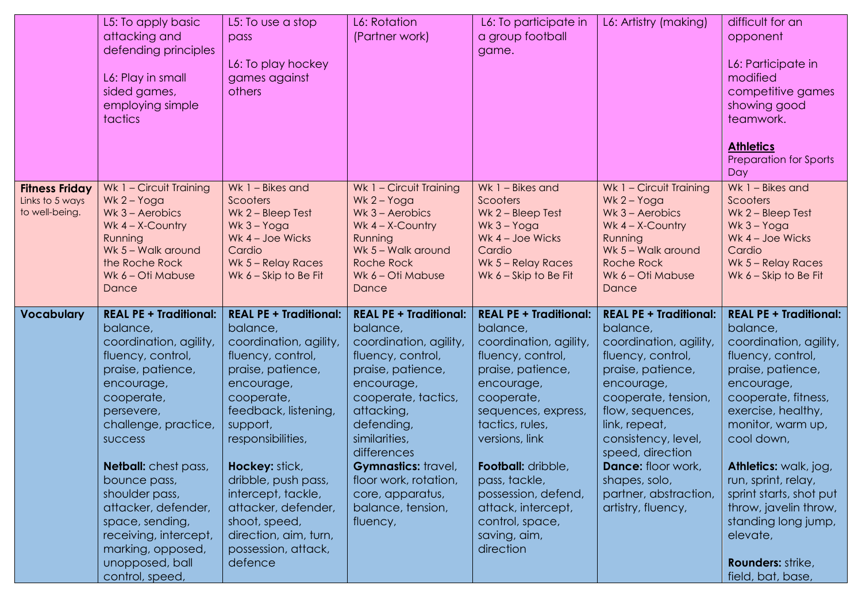|                                                            | L5: To apply basic<br>attacking and<br>defending principles<br>L6: Play in small<br>sided games,<br>employing simple<br>tactics                                                                                                                                                                                                                                                                  | L5: To use a stop<br>pass<br>L6: To play hockey<br>games against<br>others                                                                                                                                                                                                                                                                                                  | L6: Rotation<br>(Partner work)                                                                                                                                                                                                                                                                                             | L6: To participate in<br>a group football<br>game.                                                                                                                                                                                                                                                                                               | L6: Artistry (making)                                                                                                                                                                                                                                                                                                           | difficult for an<br>opponent<br>L6: Participate in<br>modified<br>competitive games<br>showing good<br>teamwork.<br><b>Athletics</b><br>Preparation for Sports<br>Day                                                                                                                                                                                                                               |
|------------------------------------------------------------|--------------------------------------------------------------------------------------------------------------------------------------------------------------------------------------------------------------------------------------------------------------------------------------------------------------------------------------------------------------------------------------------------|-----------------------------------------------------------------------------------------------------------------------------------------------------------------------------------------------------------------------------------------------------------------------------------------------------------------------------------------------------------------------------|----------------------------------------------------------------------------------------------------------------------------------------------------------------------------------------------------------------------------------------------------------------------------------------------------------------------------|--------------------------------------------------------------------------------------------------------------------------------------------------------------------------------------------------------------------------------------------------------------------------------------------------------------------------------------------------|---------------------------------------------------------------------------------------------------------------------------------------------------------------------------------------------------------------------------------------------------------------------------------------------------------------------------------|-----------------------------------------------------------------------------------------------------------------------------------------------------------------------------------------------------------------------------------------------------------------------------------------------------------------------------------------------------------------------------------------------------|
| <b>Fitness Friday</b><br>Links to 5 ways<br>to well-being. | Wk 1 - Circuit Training<br>$Wk 2 - Yoga$<br>Wk $3 -$ Aerobics<br>Wk $4 - X$ -Country<br>Running<br>Wk 5 - Walk around<br>the Roche Rock<br>Wk 6 - Oti Mabuse<br>Dance                                                                                                                                                                                                                            | Wk 1 - Bikes and<br>Scooters<br>Wk 2 - Bleep Test<br>$Wk$ 3 – Yoga<br>Wk $4 - Joe Wicks$<br>Cardio<br>Wk 5 - Relay Races<br>Wk $6 -$ Skip to Be Fit                                                                                                                                                                                                                         | Wk 1 - Circuit Training<br>$Wk 2 - Yoga$<br>Wk $3 -$ Aerobics<br>Wk $4 - X$ -Country<br>Running<br>Wk 5 - Walk around<br>Roche Rock<br>Wk 6 - Oti Mabuse<br>Dance                                                                                                                                                          | Wk 1 - Bikes and<br>Scooters<br>$Wk$ 2 – Bleep Test<br>$Wk$ 3 – Yoga<br>Wk 4 - Joe Wicks<br>Cardio<br>Wk 5 - Relay Races<br>Wk $6 -$ Skip to Be Fit                                                                                                                                                                                              | Wk 1 - Circuit Training<br>Wk $2 - Y$ oga<br>Wk $3 -$ Aerobics<br>Wk $4 - X$ -Country<br>Running<br>Wk 5 - Walk around<br><b>Roche Rock</b><br>Wk 6 - Oti Mabuse<br>Dance                                                                                                                                                       | Wk 1 - Bikes and<br>Scooters<br>Wk 2 - Bleep Test<br>Wk 3 - Yoga<br>Wk 4 - Joe Wicks<br>Cardio<br>Wk 5 - Relay Races<br>Wk $6 -$ Skip to Be Fit                                                                                                                                                                                                                                                     |
| <b>Vocabulary</b>                                          | <b>REAL PE + Traditional:</b><br>balance,<br>coordination, agility,<br>fluency, control,<br>praise, patience,<br>encourage,<br>cooperate,<br>persevere,<br>challenge, practice,<br><b>SUCCESS</b><br><b>Netball:</b> chest pass,<br>bounce pass,<br>shoulder pass,<br>attacker, defender,<br>space, sending,<br>receiving, intercept,<br>marking, opposed,<br>unopposed, ball<br>control, speed, | <b>REAL PE + Traditional:</b><br>balance,<br>coordination, agility,<br>fluency, control,<br>praise, patience,<br>encourage,<br>cooperate,<br>feedback, listening,<br>support,<br>responsibilities,<br><b>Hockey: stick,</b><br>dribble, push pass,<br>intercept, tackle,<br>attacker, defender,<br>shoot, speed,<br>direction, aim, turn,<br>possession, attack,<br>defence | <b>REAL PE + Traditional:</b><br>balance,<br>coordination, agility,<br>fluency, control,<br>praise, patience,<br>encourage,<br>cooperate, tactics,<br>attacking,<br>defending,<br>similarities,<br>differences<br><b>Gymnastics:</b> travel,<br>floor work, rotation,<br>core, apparatus,<br>balance, tension,<br>fluency, | <b>REAL PE + Traditional:</b><br>balance,<br>coordination, agility,<br>fluency, control,<br>praise, patience,<br>encourage,<br>cooperate,<br>sequences, express,<br>tactics, rules,<br>versions, link<br><b>Football:</b> dribble,<br>pass, tackle,<br>possession, defend,<br>attack, intercept,<br>control, space,<br>saving, aim,<br>direction | <b>REAL PE + Traditional:</b><br>balance,<br>coordination, agility,<br>fluency, control,<br>praise, patience,<br>encourage,<br>cooperate, tension,<br>flow, sequences,<br>link, repeat,<br>consistency, level,<br>speed, direction<br><b>Dance:</b> floor work,<br>shapes, solo,<br>partner, abstraction,<br>artistry, fluency, | <b>REAL PE + Traditional:</b><br>balance,<br>coordination, agility,<br>fluency, control,<br>praise, patience,<br>encourage,<br>cooperate, fitness,<br>exercise, healthy,<br>monitor, warm up,<br>cool down,<br>Athletics: walk, jog,<br>run, sprint, relay,<br>sprint starts, shot put<br>throw, javelin throw,<br>standing long jump,<br>elevate,<br><b>Rounders: strike,</b><br>field, bat, base, |